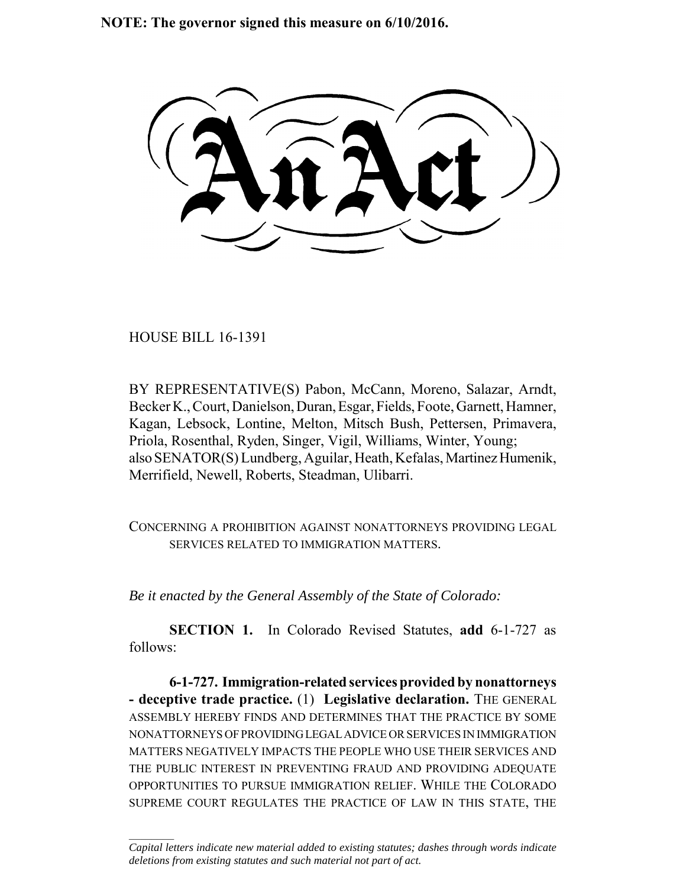**NOTE: The governor signed this measure on 6/10/2016.**

HOUSE BILL 16-1391

 $\frac{1}{2}$ 

BY REPRESENTATIVE(S) Pabon, McCann, Moreno, Salazar, Arndt, Becker K., Court, Danielson, Duran, Esgar, Fields, Foote, Garnett, Hamner, Kagan, Lebsock, Lontine, Melton, Mitsch Bush, Pettersen, Primavera, Priola, Rosenthal, Ryden, Singer, Vigil, Williams, Winter, Young; also SENATOR(S) Lundberg, Aguilar, Heath, Kefalas, Martinez Humenik, Merrifield, Newell, Roberts, Steadman, Ulibarri.

CONCERNING A PROHIBITION AGAINST NONATTORNEYS PROVIDING LEGAL SERVICES RELATED TO IMMIGRATION MATTERS.

*Be it enacted by the General Assembly of the State of Colorado:*

**SECTION 1.** In Colorado Revised Statutes, **add** 6-1-727 as follows:

**6-1-727. Immigration-related services provided by nonattorneys - deceptive trade practice.** (1) **Legislative declaration.** THE GENERAL ASSEMBLY HEREBY FINDS AND DETERMINES THAT THE PRACTICE BY SOME NONATTORNEYS OF PROVIDING LEGAL ADVICE OR SERVICES IN IMMIGRATION MATTERS NEGATIVELY IMPACTS THE PEOPLE WHO USE THEIR SERVICES AND THE PUBLIC INTEREST IN PREVENTING FRAUD AND PROVIDING ADEQUATE OPPORTUNITIES TO PURSUE IMMIGRATION RELIEF. WHILE THE COLORADO SUPREME COURT REGULATES THE PRACTICE OF LAW IN THIS STATE, THE

*Capital letters indicate new material added to existing statutes; dashes through words indicate deletions from existing statutes and such material not part of act.*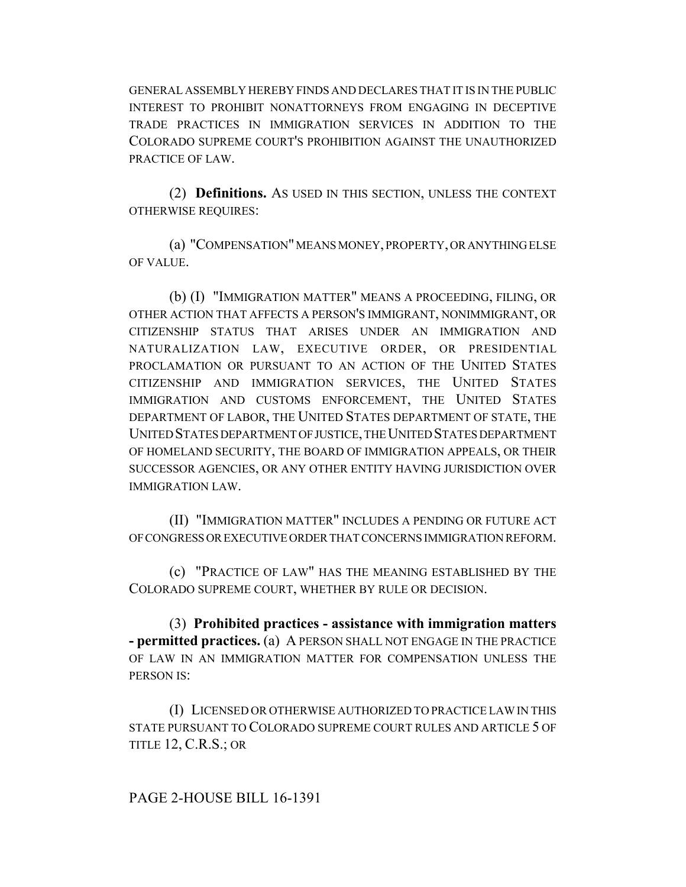GENERAL ASSEMBLY HEREBY FINDS AND DECLARES THAT IT IS IN THE PUBLIC INTEREST TO PROHIBIT NONATTORNEYS FROM ENGAGING IN DECEPTIVE TRADE PRACTICES IN IMMIGRATION SERVICES IN ADDITION TO THE COLORADO SUPREME COURT'S PROHIBITION AGAINST THE UNAUTHORIZED PRACTICE OF LAW.

(2) **Definitions.** AS USED IN THIS SECTION, UNLESS THE CONTEXT OTHERWISE REQUIRES:

(a) "COMPENSATION" MEANS MONEY, PROPERTY, OR ANYTHING ELSE OF VALUE.

(b) (I) "IMMIGRATION MATTER" MEANS A PROCEEDING, FILING, OR OTHER ACTION THAT AFFECTS A PERSON'S IMMIGRANT, NONIMMIGRANT, OR CITIZENSHIP STATUS THAT ARISES UNDER AN IMMIGRATION AND NATURALIZATION LAW, EXECUTIVE ORDER, OR PRESIDENTIAL PROCLAMATION OR PURSUANT TO AN ACTION OF THE UNITED STATES CITIZENSHIP AND IMMIGRATION SERVICES, THE UNITED STATES IMMIGRATION AND CUSTOMS ENFORCEMENT, THE UNITED STATES DEPARTMENT OF LABOR, THE UNITED STATES DEPARTMENT OF STATE, THE UNITED STATES DEPARTMENT OF JUSTICE, THE UNITED STATES DEPARTMENT OF HOMELAND SECURITY, THE BOARD OF IMMIGRATION APPEALS, OR THEIR SUCCESSOR AGENCIES, OR ANY OTHER ENTITY HAVING JURISDICTION OVER IMMIGRATION LAW.

(II) "IMMIGRATION MATTER" INCLUDES A PENDING OR FUTURE ACT OF CONGRESS OR EXECUTIVE ORDER THAT CONCERNS IMMIGRATION REFORM.

(c) "PRACTICE OF LAW" HAS THE MEANING ESTABLISHED BY THE COLORADO SUPREME COURT, WHETHER BY RULE OR DECISION.

(3) **Prohibited practices - assistance with immigration matters - permitted practices.** (a) A PERSON SHALL NOT ENGAGE IN THE PRACTICE OF LAW IN AN IMMIGRATION MATTER FOR COMPENSATION UNLESS THE PERSON IS:

(I) LICENSED OR OTHERWISE AUTHORIZED TO PRACTICE LAW IN THIS STATE PURSUANT TO COLORADO SUPREME COURT RULES AND ARTICLE 5 OF TITLE 12, C.R.S.; OR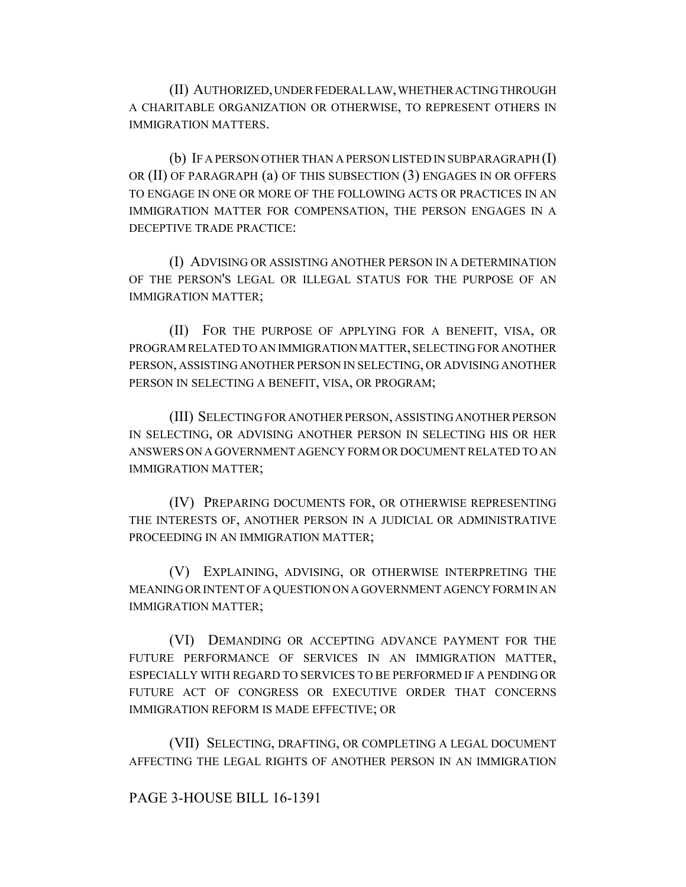(II) AUTHORIZED, UNDER FEDERAL LAW, WHETHER ACTING THROUGH A CHARITABLE ORGANIZATION OR OTHERWISE, TO REPRESENT OTHERS IN IMMIGRATION MATTERS.

(b) IF A PERSON OTHER THAN A PERSON LISTED IN SUBPARAGRAPH (I) OR (II) OF PARAGRAPH (a) OF THIS SUBSECTION (3) ENGAGES IN OR OFFERS TO ENGAGE IN ONE OR MORE OF THE FOLLOWING ACTS OR PRACTICES IN AN IMMIGRATION MATTER FOR COMPENSATION, THE PERSON ENGAGES IN A DECEPTIVE TRADE PRACTICE:

(I) ADVISING OR ASSISTING ANOTHER PERSON IN A DETERMINATION OF THE PERSON'S LEGAL OR ILLEGAL STATUS FOR THE PURPOSE OF AN IMMIGRATION MATTER;

(II) FOR THE PURPOSE OF APPLYING FOR A BENEFIT, VISA, OR PROGRAM RELATED TO AN IMMIGRATION MATTER, SELECTING FOR ANOTHER PERSON, ASSISTING ANOTHER PERSON IN SELECTING, OR ADVISING ANOTHER PERSON IN SELECTING A BENEFIT, VISA, OR PROGRAM;

(III) SELECTING FOR ANOTHER PERSON, ASSISTING ANOTHER PERSON IN SELECTING, OR ADVISING ANOTHER PERSON IN SELECTING HIS OR HER ANSWERS ON A GOVERNMENT AGENCY FORM OR DOCUMENT RELATED TO AN IMMIGRATION MATTER;

(IV) PREPARING DOCUMENTS FOR, OR OTHERWISE REPRESENTING THE INTERESTS OF, ANOTHER PERSON IN A JUDICIAL OR ADMINISTRATIVE PROCEEDING IN AN IMMIGRATION MATTER;

(V) EXPLAINING, ADVISING, OR OTHERWISE INTERPRETING THE MEANING OR INTENT OF A QUESTION ON A GOVERNMENT AGENCY FORM IN AN IMMIGRATION MATTER;

(VI) DEMANDING OR ACCEPTING ADVANCE PAYMENT FOR THE FUTURE PERFORMANCE OF SERVICES IN AN IMMIGRATION MATTER, ESPECIALLY WITH REGARD TO SERVICES TO BE PERFORMED IF A PENDING OR FUTURE ACT OF CONGRESS OR EXECUTIVE ORDER THAT CONCERNS IMMIGRATION REFORM IS MADE EFFECTIVE; OR

(VII) SELECTING, DRAFTING, OR COMPLETING A LEGAL DOCUMENT AFFECTING THE LEGAL RIGHTS OF ANOTHER PERSON IN AN IMMIGRATION

## PAGE 3-HOUSE BILL 16-1391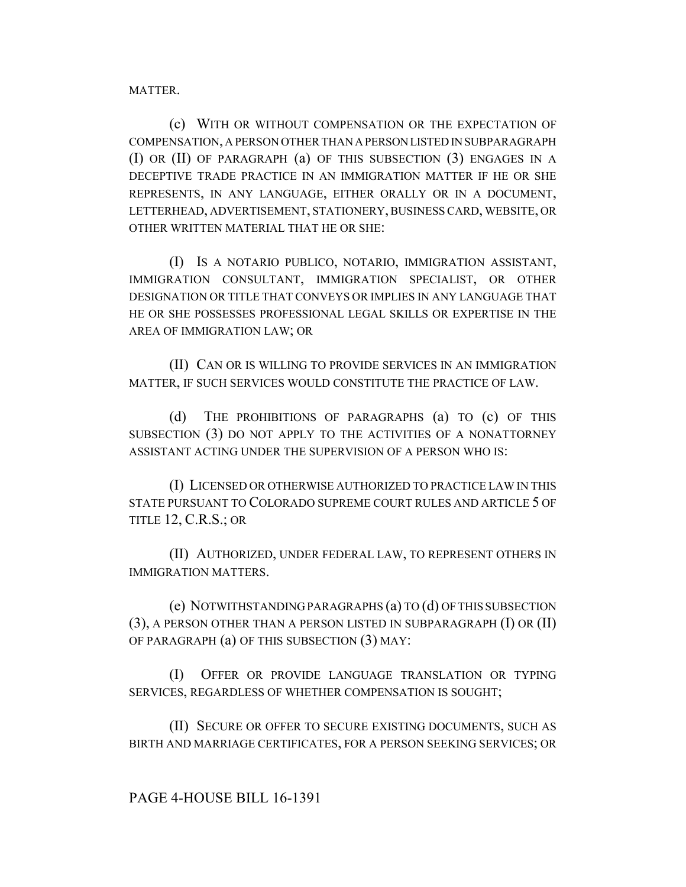MATTER.

(c) WITH OR WITHOUT COMPENSATION OR THE EXPECTATION OF COMPENSATION, A PERSON OTHER THAN A PERSON LISTED IN SUBPARAGRAPH (I) OR (II) OF PARAGRAPH (a) OF THIS SUBSECTION (3) ENGAGES IN A DECEPTIVE TRADE PRACTICE IN AN IMMIGRATION MATTER IF HE OR SHE REPRESENTS, IN ANY LANGUAGE, EITHER ORALLY OR IN A DOCUMENT, LETTERHEAD, ADVERTISEMENT, STATIONERY, BUSINESS CARD, WEBSITE, OR OTHER WRITTEN MATERIAL THAT HE OR SHE:

(I) IS A NOTARIO PUBLICO, NOTARIO, IMMIGRATION ASSISTANT, IMMIGRATION CONSULTANT, IMMIGRATION SPECIALIST, OR OTHER DESIGNATION OR TITLE THAT CONVEYS OR IMPLIES IN ANY LANGUAGE THAT HE OR SHE POSSESSES PROFESSIONAL LEGAL SKILLS OR EXPERTISE IN THE AREA OF IMMIGRATION LAW; OR

(II) CAN OR IS WILLING TO PROVIDE SERVICES IN AN IMMIGRATION MATTER, IF SUCH SERVICES WOULD CONSTITUTE THE PRACTICE OF LAW.

(d) THE PROHIBITIONS OF PARAGRAPHS (a) TO (c) OF THIS SUBSECTION (3) DO NOT APPLY TO THE ACTIVITIES OF A NONATTORNEY ASSISTANT ACTING UNDER THE SUPERVISION OF A PERSON WHO IS:

(I) LICENSED OR OTHERWISE AUTHORIZED TO PRACTICE LAW IN THIS STATE PURSUANT TO COLORADO SUPREME COURT RULES AND ARTICLE 5 OF TITLE 12, C.R.S.; OR

(II) AUTHORIZED, UNDER FEDERAL LAW, TO REPRESENT OTHERS IN IMMIGRATION MATTERS.

(e) NOTWITHSTANDING PARAGRAPHS (a) TO (d) OF THIS SUBSECTION (3), A PERSON OTHER THAN A PERSON LISTED IN SUBPARAGRAPH (I) OR (II) OF PARAGRAPH (a) OF THIS SUBSECTION (3) MAY:

(I) OFFER OR PROVIDE LANGUAGE TRANSLATION OR TYPING SERVICES, REGARDLESS OF WHETHER COMPENSATION IS SOUGHT;

(II) SECURE OR OFFER TO SECURE EXISTING DOCUMENTS, SUCH AS BIRTH AND MARRIAGE CERTIFICATES, FOR A PERSON SEEKING SERVICES; OR

## PAGE 4-HOUSE BILL 16-1391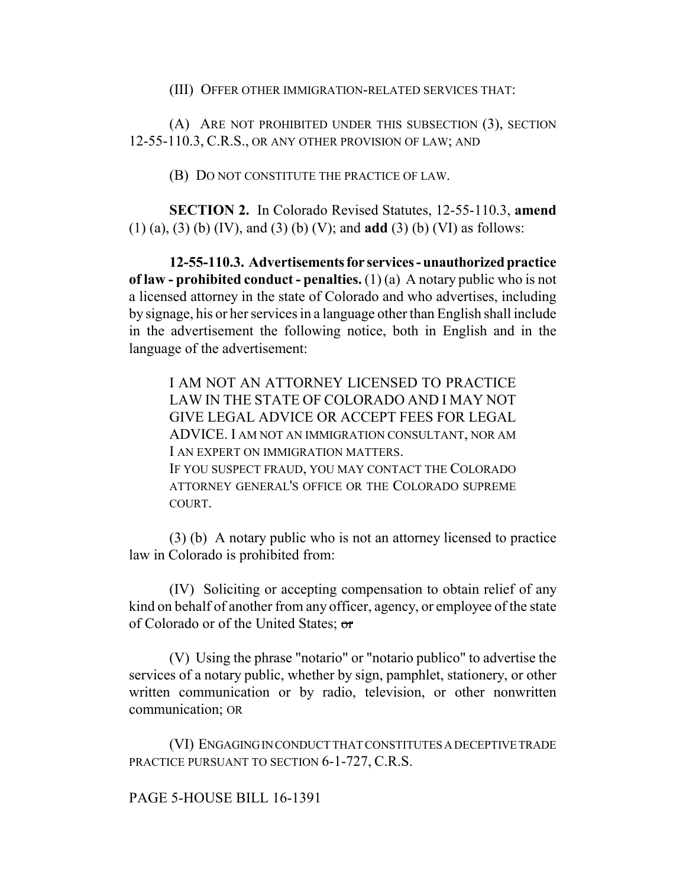(III) OFFER OTHER IMMIGRATION-RELATED SERVICES THAT:

(A) ARE NOT PROHIBITED UNDER THIS SUBSECTION (3), SECTION 12-55-110.3, C.R.S., OR ANY OTHER PROVISION OF LAW; AND

(B) DO NOT CONSTITUTE THE PRACTICE OF LAW.

**SECTION 2.** In Colorado Revised Statutes, 12-55-110.3, **amend** (1) (a), (3) (b) (IV), and (3) (b) (V); and **add** (3) (b) (VI) as follows:

**12-55-110.3. Advertisements for services - unauthorized practice of law - prohibited conduct - penalties.** (1) (a) A notary public who is not a licensed attorney in the state of Colorado and who advertises, including by signage, his or her services in a language other than English shall include in the advertisement the following notice, both in English and in the language of the advertisement:

I AM NOT AN ATTORNEY LICENSED TO PRACTICE LAW IN THE STATE OF COLORADO AND I MAY NOT GIVE LEGAL ADVICE OR ACCEPT FEES FOR LEGAL ADVICE. I AM NOT AN IMMIGRATION CONSULTANT, NOR AM I AN EXPERT ON IMMIGRATION MATTERS. IF YOU SUSPECT FRAUD, YOU MAY CONTACT THE COLORADO ATTORNEY GENERAL'S OFFICE OR THE COLORADO SUPREME COURT.

(3) (b) A notary public who is not an attorney licensed to practice law in Colorado is prohibited from:

(IV) Soliciting or accepting compensation to obtain relief of any kind on behalf of another from any officer, agency, or employee of the state of Colorado or of the United States; or

(V) Using the phrase "notario" or "notario publico" to advertise the services of a notary public, whether by sign, pamphlet, stationery, or other written communication or by radio, television, or other nonwritten communication; OR

(VI) ENGAGING IN CONDUCT THAT CONSTITUTES A DECEPTIVE TRADE PRACTICE PURSUANT TO SECTION 6-1-727, C.R.S.

## PAGE 5-HOUSE BILL 16-1391